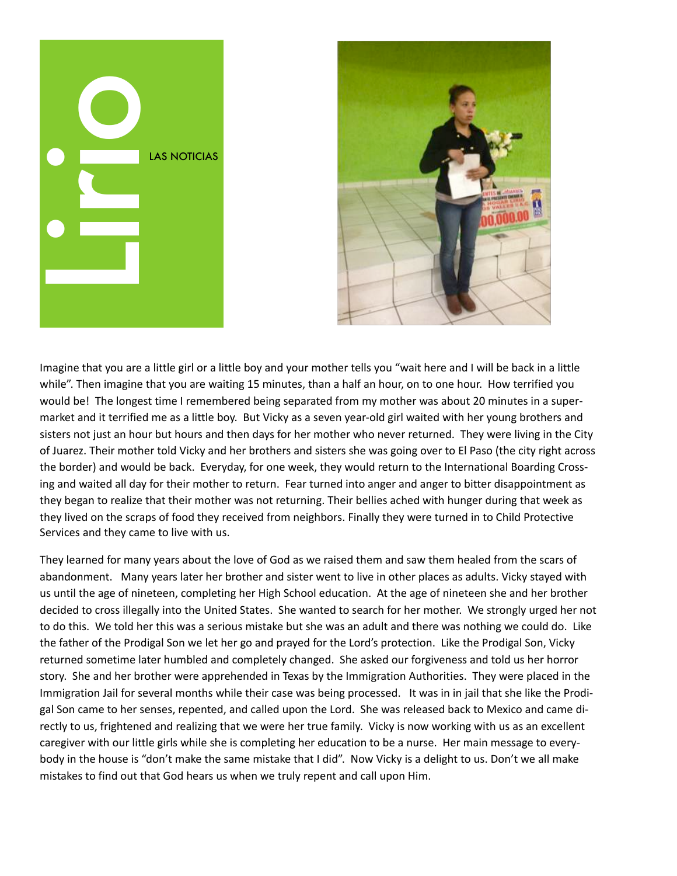



Imagine that you are a little girl or a little boy and your mother tells you "wait here and I will be back in a little while". Then imagine that you are waiting 15 minutes, than a half an hour, on to one hour. How terrified you would be! The longest time I remembered being separated from my mother was about 20 minutes in a supermarket and it terrified me as a little boy. But Vicky as a seven year-old girl waited with her young brothers and sisters not just an hour but hours and then days for her mother who never returned. They were living in the City of Juarez. Their mother told Vicky and her brothers and sisters she was going over to El Paso (the city right across the border) and would be back. Everyday, for one week, they would return to the International Boarding Crossing and waited all day for their mother to return. Fear turned into anger and anger to bitter disappointment as they began to realize that their mother was not returning. Their bellies ached with hunger during that week as they lived on the scraps of food they received from neighbors. Finally they were turned in to Child Protective Services and they came to live with us.

They learned for many years about the love of God as we raised them and saw them healed from the scars of abandonment. Many years later her brother and sister went to live in other places as adults. Vicky stayed with us until the age of nineteen, completing her High School education. At the age of nineteen she and her brother decided to cross illegally into the United States. She wanted to search for her mother. We strongly urged her not to do this. We told her this was a serious mistake but she was an adult and there was nothing we could do. Like the father of the Prodigal Son we let her go and prayed for the Lord's protection. Like the Prodigal Son, Vicky returned sometime later humbled and completely changed. She asked our forgiveness and told us her horror story. She and her brother were apprehended in Texas by the Immigration Authorities. They were placed in the Immigration Jail for several months while their case was being processed. It was in in jail that she like the Prodigal Son came to her senses, repented, and called upon the Lord. She was released back to Mexico and came directly to us, frightened and realizing that we were her true family. Vicky is now working with us as an excellent caregiver with our little girls while she is completing her education to be a nurse. Her main message to everybody in the house is "don't make the same mistake that I did". Now Vicky is a delight to us. Don't we all make mistakes to find out that God hears us when we truly repent and call upon Him.